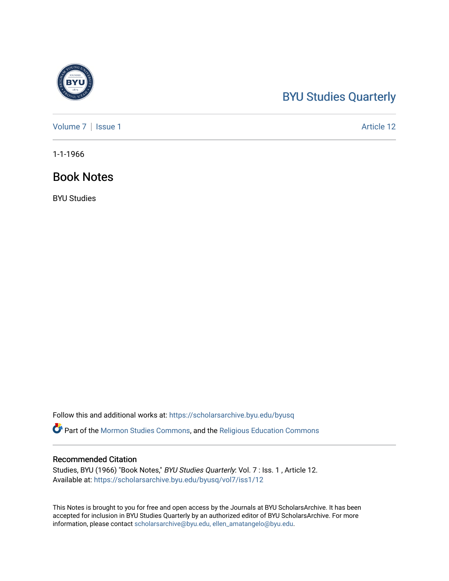## [BYU Studies Quarterly](https://scholarsarchive.byu.edu/byusq)

[Volume 7](https://scholarsarchive.byu.edu/byusq/vol7) | [Issue 1](https://scholarsarchive.byu.edu/byusq/vol7/iss1) Article 12

1-1-1966

### Book Notes

BYU Studies

Follow this and additional works at: [https://scholarsarchive.byu.edu/byusq](https://scholarsarchive.byu.edu/byusq?utm_source=scholarsarchive.byu.edu%2Fbyusq%2Fvol7%2Fiss1%2F12&utm_medium=PDF&utm_campaign=PDFCoverPages) 

Part of the [Mormon Studies Commons](http://network.bepress.com/hgg/discipline/1360?utm_source=scholarsarchive.byu.edu%2Fbyusq%2Fvol7%2Fiss1%2F12&utm_medium=PDF&utm_campaign=PDFCoverPages), and the [Religious Education Commons](http://network.bepress.com/hgg/discipline/1414?utm_source=scholarsarchive.byu.edu%2Fbyusq%2Fvol7%2Fiss1%2F12&utm_medium=PDF&utm_campaign=PDFCoverPages) 

#### Recommended Citation

Studies, BYU (1966) "Book Notes," BYU Studies Quarterly: Vol. 7 : Iss. 1 , Article 12. Available at: [https://scholarsarchive.byu.edu/byusq/vol7/iss1/12](https://scholarsarchive.byu.edu/byusq/vol7/iss1/12?utm_source=scholarsarchive.byu.edu%2Fbyusq%2Fvol7%2Fiss1%2F12&utm_medium=PDF&utm_campaign=PDFCoverPages)

This Notes is brought to you for free and open access by the Journals at BYU ScholarsArchive. It has been accepted for inclusion in BYU Studies Quarterly by an authorized editor of BYU ScholarsArchive. For more information, please contact [scholarsarchive@byu.edu, ellen\\_amatangelo@byu.edu.](mailto:scholarsarchive@byu.edu,%20ellen_amatangelo@byu.edu)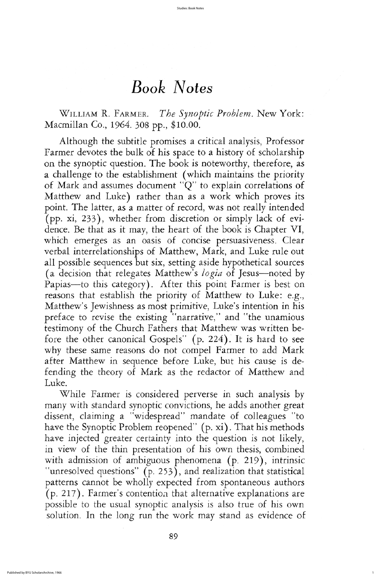89

# Book Notes

WILLIAM R. FARMER. The Synoptic Problem. New York: Macmillan Co., 1964. 308 pp., \$10.00.

Although the subtitle promises a critical analysis, Professor farmer devotes the bulk of his space to a history of scholarship on the synoptic question. The book is noteworthy, therefore, as a challenge to the establishment (which maintains the priority of Mark and assumes document " $Q$ " to explain correlations of Matthew and Luke) rather than as a work which proves its point. The latter, as a matter of record, was not really intended (pp. xi, 233), whether from discretion or simply lack of evidence. Be that as it may, the heart of the book is Chapter VI, which emerges as an oasis of concise persuasiveness. Clear verbal interrelationships of Matthew, Mark, and Luke rule out all possible sequences but six, setting aside hypothetical sources (a decision that relegates Matthew's logia of Jesus—noted by Papias—to this category). After this point Farmer is best on reasons that establish the priority of Matthew to Luke: e.g., Matthew's Jewishness as most primitive, Luke's intention in his preface to revise the existing "narrative," and "the unamious testimony of the church fathers that matthew was written before the other canonical Gospels"  $(p. 224)$ . It is hard to see why these same reasons do not compel Farmer to add Mark after Matthew in sequence before Luke, but his cause is defending the theory of mark as the redactor of matthew and Luke. while farmer is considered perverse in such analysis by many with standard synoptic convictions, he adds another great dissent, claiming a "widespread" mandate of colleagues "to have the Synoptic Problem reopened" (p. xi). That his methods have injected greater certainty into the question is not likely in view of the thin presentation of his own thesis, combined with admission of ambiguous phenomena  $(p. 219)$ , intrinsic  $"unresolved questions"$  (p. 253), and realization that statistical patterns cannot be wholly expected from spontaneous authors  $(p. 217)$ . Farmer's contention that alternative explanations are possible to the usual synoptic analysis is also true of his own solution. In the long run the work may stand as evidence of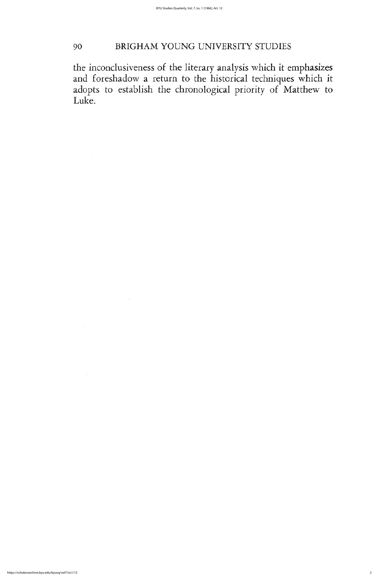# <sup>90</sup> BRIGHAM YOUNG university STUDIES

the inconclusiveness of the literary analysis which it emphasizes and foreshadow a return to the historical techniques which it adopts to establish the chronological priority of matthew to Luke.

reprinsi 1999 ya katika Mkoa wa Nijeriya wa Kasasar Ingil

 $\sim$  $\sim$ 

医血管的 医黄

 $\label{eq:2.1} \mathcal{A}(\mathcal{A}_{\mathcal{A}}) = \mathcal{A}(\mathcal{A}_{\mathcal{A}}) \quad \text{and} \quad \mathcal{A}(\mathcal{A}) = \mathcal{A}(\mathcal{A})$ 

a rock game of provider